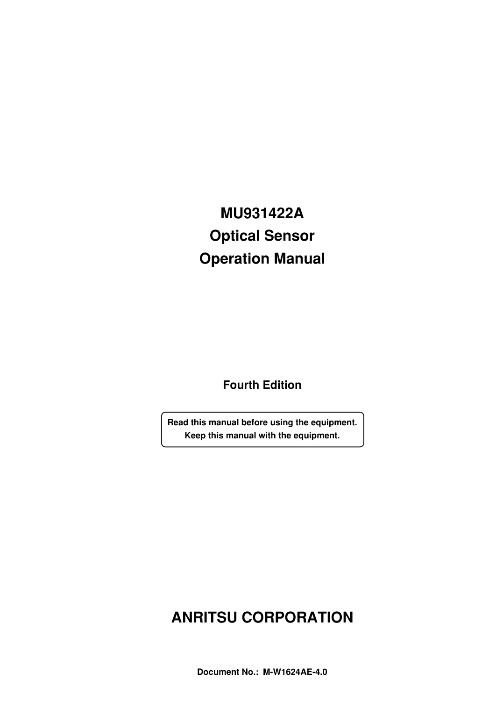# **MU931422A Optical Sensor Operation Manual**

**Fourth Edition**

**Read this manual before using the equipment. Keep this manual with the equipment.**

# **ANRITSU CORPORATION**

**Document No.: M-W1624AE-4.0**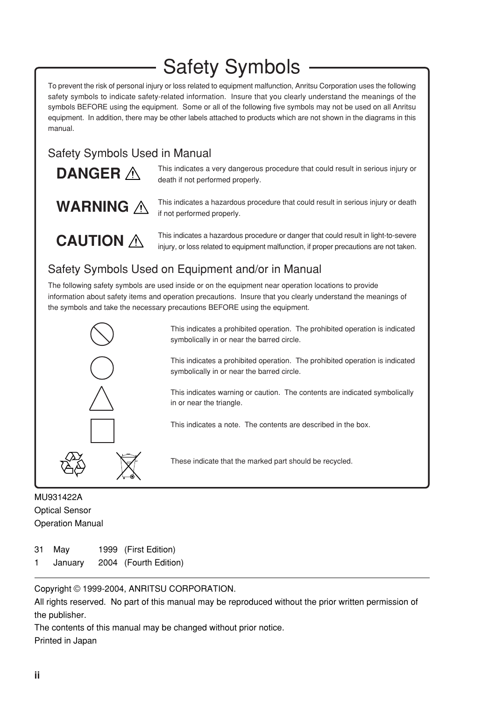# Safety Symbols

To prevent the risk of personal injury or loss related to equipment malfunction, Anritsu Corporation uses the following safety symbols to indicate safety-related information. Insure that you clearly understand the meanings of the symbols BEFORE using the equipment. Some or all of the following five symbols may not be used on all Anritsu equipment. In addition, there may be other labels attached to products which are not shown in the diagrams in this manual.

## Safety Symbols Used in Manual

| DANGER A |  |
|----------|--|
|          |  |

**WARNING** 

This indicates a very dangerous procedure that could result in serious injury or death if not performed properly.

This indicates a hazardous procedure that could result in serious injury or death if not performed properly.

**CAUTION**  $\triangle$ 

This indicates a hazardous procedure or danger that could result in light-to-severe injury, or loss related to equipment malfunction, if proper precautions are not taken.

## Safety Symbols Used on Equipment and/or in Manual

The following safety symbols are used inside or on the equipment near operation locations to provide information about safety items and operation precautions. Insure that you clearly understand the meanings of the symbols and take the necessary precautions BEFORE using the equipment.



This indicates a prohibited operation. The prohibited operation is indicated symbolically in or near the barred circle.

This indicates a prohibited operation. The prohibited operation is indicated symbolically in or near the barred circle.

This indicates warning or caution. The contents are indicated symbolically in or near the triangle.

This indicates a note. The contents are described in the box.

These indicate that the marked part should be recycled.

MU931422A Optical Sensor Operation Manual

- 31 May 1999 (First Edition)
- 1 January 2004 (Fourth Edition)

Copyright © 1999-2004, ANRITSU CORPORATION.

All rights reserved. No part of this manual may be reproduced without the prior written permission of the publisher.

The contents of this manual may be changed without prior notice. Printed in Japan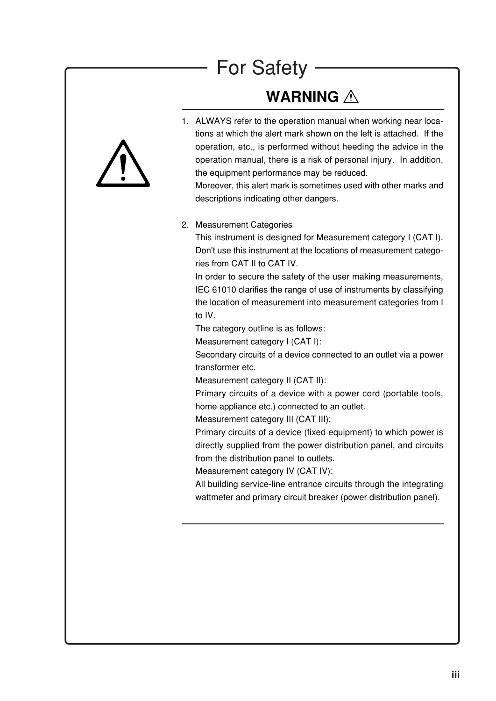# For Safety

# **WARNING**



1. ALWAYS refer to the operation manual when working near locations at which the alert mark shown on the left is attached. If the operation, etc., is performed without heeding the advice in the operation manual, there is a risk of personal injury. In addition, the equipment performance may be reduced.

Moreover, this alert mark is sometimes used with other marks and descriptions indicating other dangers.

#### 2. Measurement Categories

This instrument is designed for Measurement category I (CAT I). Don't use this instrument at the locations of measurement categories from CAT II to CAT IV.

In order to secure the safety of the user making measurements, IEC 61010 clarifies the range of use of instruments by classifying the location of measurement into measurement categories from I to IV.

The category outline is as follows:

Measurement category I (CAT I):

Secondary circuits of a device connected to an outlet via a power transformer etc.

Measurement category II (CAT II):

Primary circuits of a device with a power cord (portable tools, home appliance etc.) connected to an outlet.

Measurement category III (CAT III):

Primary circuits of a device (fixed equipment) to which power is directly supplied from the power distribution panel, and circuits from the distribution panel to outlets.

Measurement category IV (CAT IV):

All building service-line entrance circuits through the integrating wattmeter and primary circuit breaker (power distribution panel).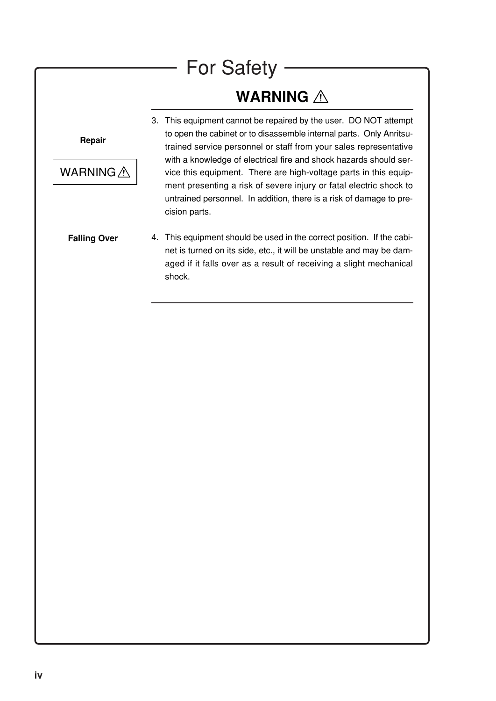# For Safety

# **WARNING**

**Repair**



- 3. This equipment cannot be repaired by the user. DO NOT attempt to open the cabinet or to disassemble internal parts. Only Anritsutrained service personnel or staff from your sales representative with a knowledge of electrical fire and shock hazards should service this equipment. There are high-voltage parts in this equipment presenting a risk of severe injury or fatal electric shock to untrained personnel. In addition, there is a risk of damage to precision parts.
- 4. This equipment should be used in the correct position. If the cabinet is turned on its side, etc., it will be unstable and may be damaged if it falls over as a result of receiving a slight mechanical shock. **Falling Over**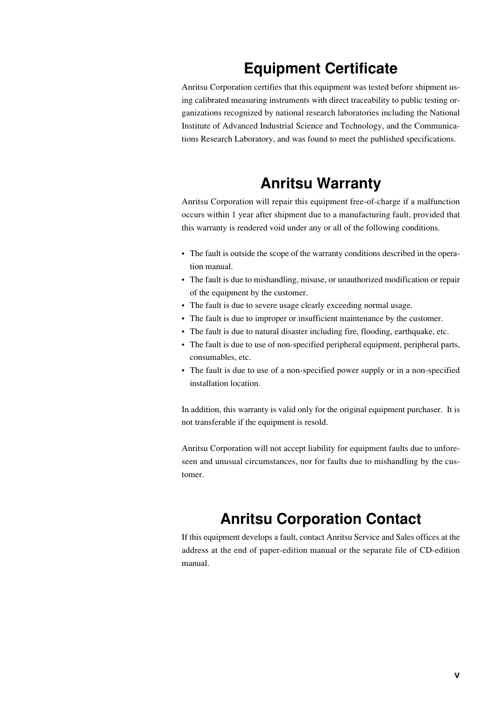# **Equipment Certificate**

Anritsu Corporation certifies that this equipment was tested before shipment using calibrated measuring instruments with direct traceability to public testing organizations recognized by national research laboratories including the National Institute of Advanced Industrial Science and Technology, and the Communications Research Laboratory, and was found to meet the published specifications.

# **Anritsu Warranty**

Anritsu Corporation will repair this equipment free-of-charge if a malfunction occurs within 1 year after shipment due to a manufacturing fault, provided that this warranty is rendered void under any or all of the following conditions.

- The fault is outside the scope of the warranty conditions described in the operation manual.
- The fault is due to mishandling, misuse, or unauthorized modification or repair of the equipment by the customer.
- The fault is due to severe usage clearly exceeding normal usage.
- The fault is due to improper or insufficient maintenance by the customer.
- The fault is due to natural disaster including fire, flooding, earthquake, etc.
- The fault is due to use of non-specified peripheral equipment, peripheral parts, consumables, etc.
- The fault is due to use of a non-specified power supply or in a non-specified installation location.

In addition, this warranty is valid only for the original equipment purchaser. It is not transferable if the equipment is resold.

Anritsu Corporation will not accept liability for equipment faults due to unforeseen and unusual circumstances, nor for faults due to mishandling by the customer.

## **Anritsu Corporation Contact**

If this equipment develops a fault, contact Anritsu Service and Sales offices at the address at the end of paper-edition manual or the separate file of CD-edition manual.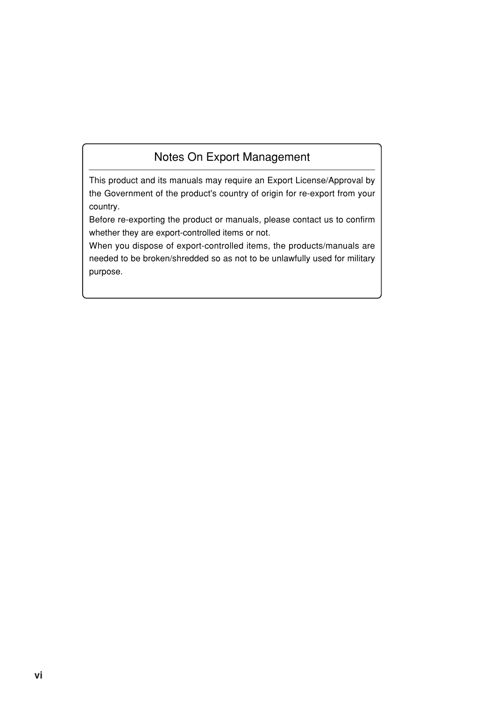## Notes On Export Management

This product and its manuals may require an Export License/Approval by the Government of the product's country of origin for re-export from your country.

Before re-exporting the product or manuals, please contact us to confirm whether they are export-controlled items or not.

When you dispose of export-controlled items, the products/manuals are needed to be broken/shredded so as not to be unlawfully used for military purpose.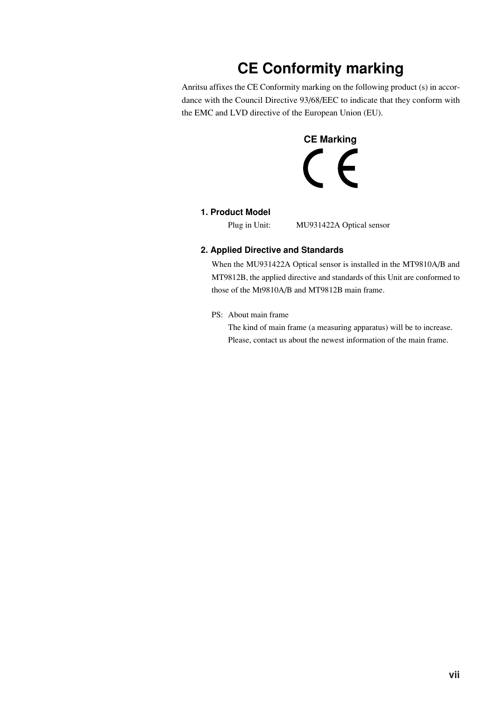# **CE Conformity marking**

Anritsu affixes the CE Conformity marking on the following product (s) in accordance with the Council Directive 93/68/EEC to indicate that they conform with the EMC and LVD directive of the European Union (EU).



#### **1. Product Model**

Plug in Unit: MU931422A Optical sensor

#### **2. Applied Directive and Standards**

When the MU931422A Optical sensor is installed in the MT9810A/B and MT9812B, the applied directive and standards of this Unit are conformed to those of the Mt9810A/B and MT9812B main frame.

#### PS: About main frame

The kind of main frame (a measuring apparatus) will be to increase. Please, contact us about the newest information of the main frame.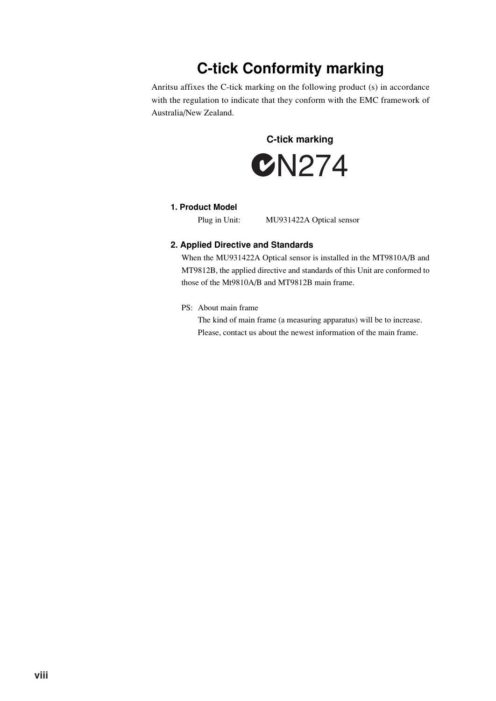# **C-tick Conformity marking**

Anritsu affixes the C-tick marking on the following product (s) in accordance with the regulation to indicate that they conform with the EMC framework of Australia/New Zealand.

**C-tick marking**



#### **1. Product Model**

Plug in Unit: MU931422A Optical sensor

#### **2. Applied Directive and Standards**

When the MU931422A Optical sensor is installed in the MT9810A/B and MT9812B, the applied directive and standards of this Unit are conformed to those of the Mt9810A/B and MT9812B main frame.

PS: About main frame

The kind of main frame (a measuring apparatus) will be to increase. Please, contact us about the newest information of the main frame.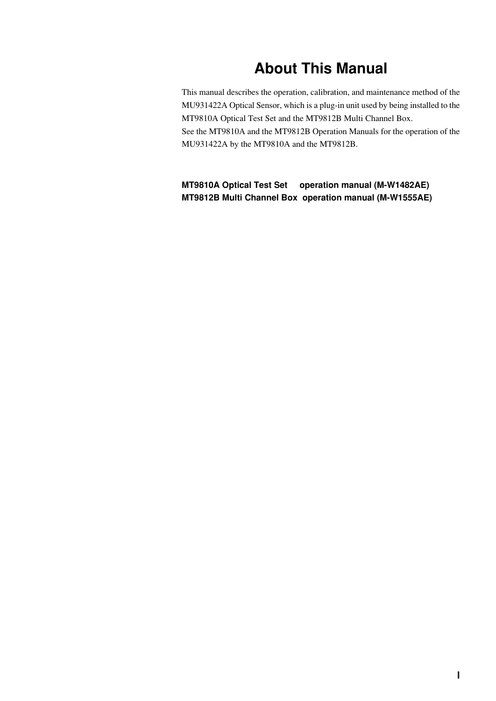# **About This Manual**

This manual describes the operation, calibration, and maintenance method of the MU931422A Optical Sensor, which is a plug-in unit used by being installed to the MT9810A Optical Test Set and the MT9812B Multi Channel Box. See the MT9810A and the MT9812B Operation Manuals for the operation of the MU931422A by the MT9810A and the MT9812B.

**MT9810A Optical Test Set operation manual (M-W1482AE) MT9812B Multi Channel Box operation manual (M-W1555AE)**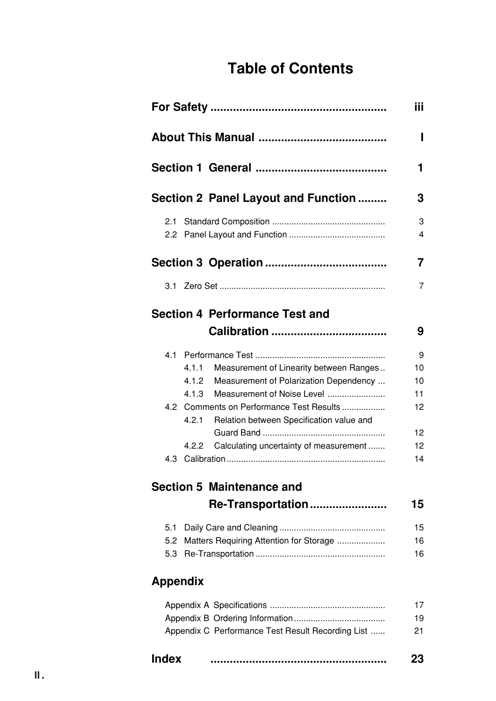# **Table of Contents**

|                 |       |                                                   | iii    |
|-----------------|-------|---------------------------------------------------|--------|
|                 |       |                                                   | ı      |
|                 |       |                                                   | 1.     |
|                 |       | Section 2 Panel Layout and Function               | 3      |
| 2.1             |       |                                                   | 3<br>4 |
|                 |       |                                                   | 7      |
|                 |       |                                                   | 7      |
|                 |       | <b>Section 4 Performance Test and</b>             |        |
|                 |       |                                                   | 9      |
|                 |       |                                                   | 9      |
|                 | 4.1.1 | Measurement of Linearity between Ranges           | 10     |
|                 | 4.1.2 | Measurement of Polarization Dependency            | 10     |
|                 | 4.1.3 | Measurement of Noise Level                        | 11     |
|                 |       | 4.2 Comments on Performance Test Results          | 12     |
|                 | 4.2.1 | Relation between Specification value and          |        |
|                 |       |                                                   | 12     |
|                 | 4.2.2 | Calculating uncertainty of measurement            | 12     |
|                 |       |                                                   | 14     |
|                 |       | <b>Section 5 Maintenance and</b>                  |        |
|                 |       | Re-Transportation                                 | 15     |
| 5.1             |       |                                                   | 15     |
| 5.2             |       | Matters Requiring Attention for Storage           | 16     |
| 5.3             |       |                                                   | 16     |
| <b>Appendix</b> |       |                                                   |        |
|                 |       |                                                   | 17     |
|                 |       |                                                   | 19     |
|                 |       | Appendix C Performance Test Result Recording List | 21     |

| Index |  |
|-------|--|
|       |  |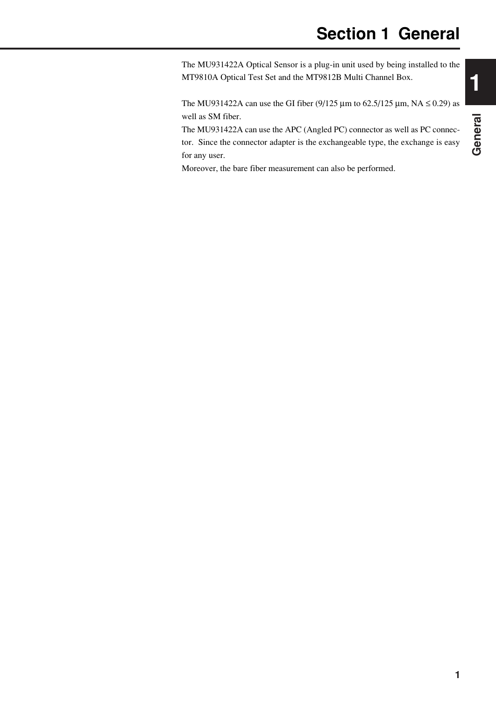The MU931422A Optical Sensor is a plug-in unit used by being installed to the MT9810A Optical Test Set and the MT9812B Multi Channel Box.

The MU931422A can use the GI fiber (9/125  $\mu$ m to 62.5/125  $\mu$ m, NA  $\leq$  0.29) as well as SM fiber.

The MU931422A can use the APC (Angled PC) connector as well as PC connector. Since the connector adapter is the exchangeable type, the exchange is easy for any user.

Moreover, the bare fiber measurement can also be performed.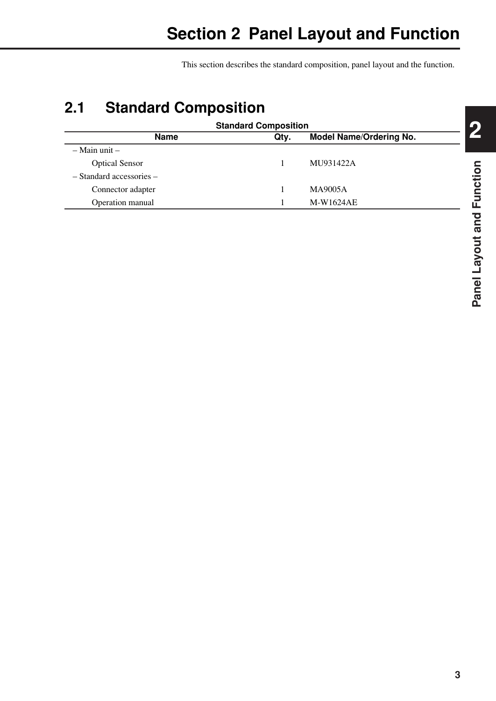This section describes the standard composition, panel layout and the function.

# **2.1 Standard Composition**

| <b>Standard Composition</b>                           |  |           |  |  |  |
|-------------------------------------------------------|--|-----------|--|--|--|
| <b>Name</b><br><b>Model Name/Ordering No.</b><br>Qtv. |  |           |  |  |  |
| $-$ Main unit $-$                                     |  |           |  |  |  |
| <b>Optical Sensor</b>                                 |  | MU931422A |  |  |  |
| $-$ Standard accessories $-$                          |  |           |  |  |  |
| Connector adapter                                     |  | MA9005A   |  |  |  |
| Operation manual                                      |  | M-W1624AE |  |  |  |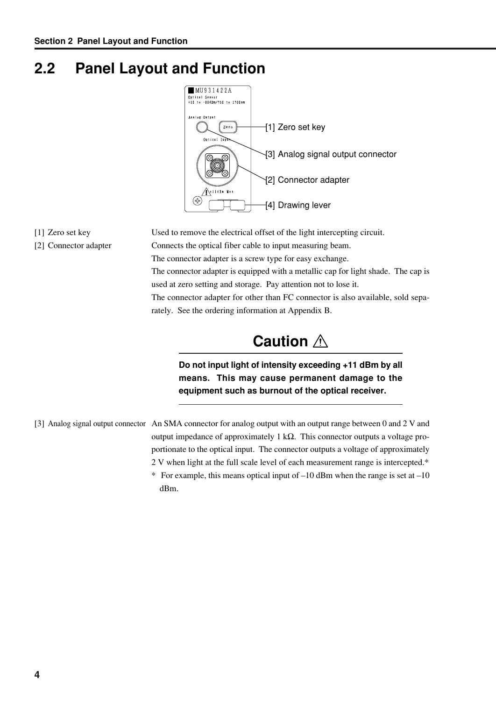# **2.2 Panel Layout and Function**



- 
- 

[1] Zero set key Used to remove the electrical offset of the light intercepting circuit. [2] Connector adapter Connects the optical fiber cable to input measuring beam. The connector adapter is a screw type for easy exchange. The connector adapter is equipped with a metallic cap for light shade. The cap is used at zero setting and storage. Pay attention not to lose it. The connector adapter for other than FC connector is also available, sold separately. See the ordering information at Appendix B.

# **Caution**

**Do not input light of intensity exceeding +11 dBm by all means. This may cause permanent damage to the equipment such as burnout of the optical receiver.**

[3] Analog signal output connector An SMA connector for analog output with an output range between 0 and 2 V and output impedance of approximately 1 kΩ. This connector outputs a voltage proportionate to the optical input. The connector outputs a voltage of approximately 2 V when light at the full scale level of each measurement range is intercepted.\*

> \* For example, this means optical input of  $-10$  dBm when the range is set at  $-10$ dBm.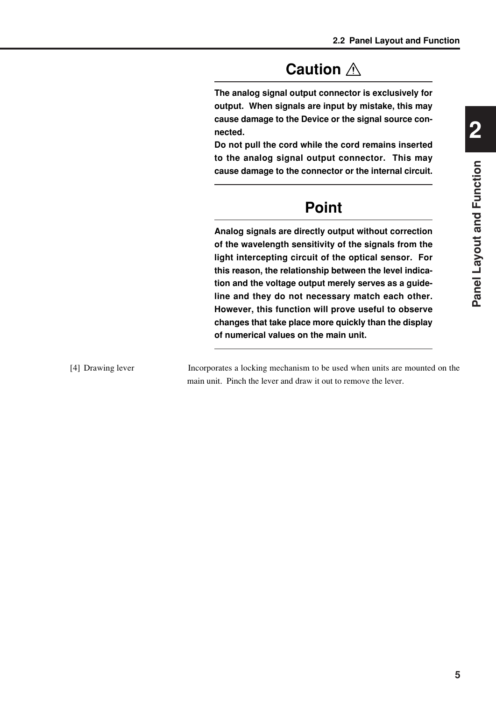# **Caution**

**The analog signal output connector is exclusively for output. When signals are input by mistake, this may cause damage to the Device or the signal source connected.**

**Do not pull the cord while the cord remains inserted to the analog signal output connector. This may cause damage to the connector or the internal circuit.**

# **Point**

**Analog signals are directly output without correction of the wavelength sensitivity of the signals from the light intercepting circuit of the optical sensor. For this reason, the relationship between the level indication and the voltage output merely serves as a guideline and they do not necessary match each other. However, this function will prove useful to observe changes that take place more quickly than the display of numerical values on the main unit.**

[4] Drawing lever Incorporates a locking mechanism to be used when units are mounted on the main unit. Pinch the lever and draw it out to remove the lever.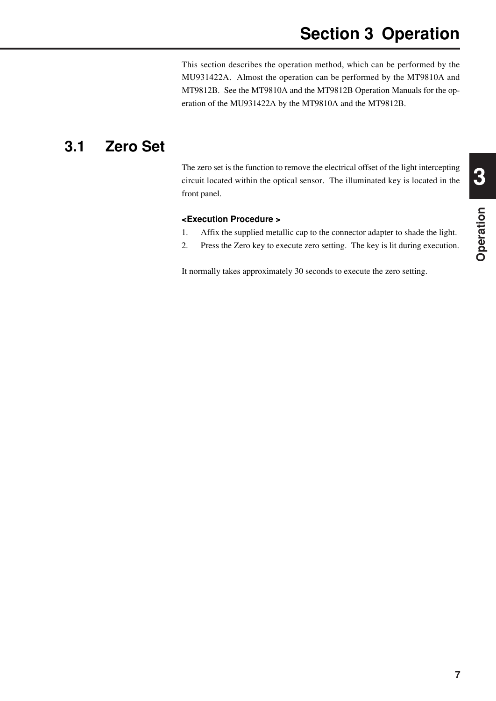# **Section 3 Operation**

This section describes the operation method, which can be performed by the MU931422A. Almost the operation can be performed by the MT9810A and MT9812B. See the MT9810A and the MT9812B Operation Manuals for the operation of the MU931422A by the MT9810A and the MT9812B.

## **3.1 Zero Set**

The zero set is the function to remove the electrical offset of the light intercepting circuit located within the optical sensor. The illuminated key is located in the front panel.

#### **<Execution Procedure >**

- 1. Affix the supplied metallic cap to the connector adapter to shade the light.
- 2. Press the Zero key to execute zero setting. The key is lit during execution.

It normally takes approximately 30 seconds to execute the zero setting.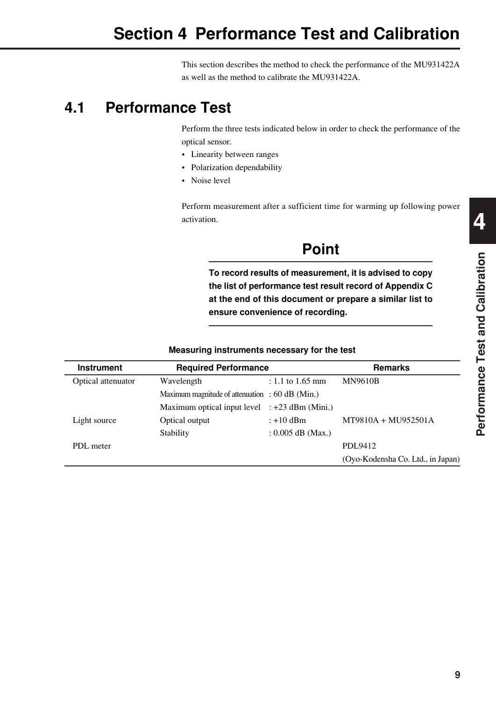This section describes the method to check the performance of the MU931422A as well as the method to calibrate the MU931422A.

# **4.1 Performance Test**

Perform the three tests indicated below in order to check the performance of the optical sensor.

- Linearity between ranges
- Polarization dependability
- Noise level

Perform measurement after a sufficient time for warming up following power activation.

# **Point**

**To record results of measurement, it is advised to copy the list of performance test result record of Appendix C at the end of this document or prepare a similar list to ensure convenience of recording.**

| <b>Instrument</b>  | <b>Required Performance</b>                       |                     | <b>Remarks</b>                    |
|--------------------|---------------------------------------------------|---------------------|-----------------------------------|
| Optical attenuator | Wavelength                                        | : 1.1 to 1.65 mm    | <b>MN9610B</b>                    |
|                    | Maximum magnitude of attenuation : $60$ dB (Min.) |                     |                                   |
|                    | Maximum optical input level : +23 dBm (Mini.)     |                     |                                   |
| Light source       | Optical output                                    | $: +10$ dBm         | MT9810A + MU952501A               |
|                    | Stability                                         | : $0.005$ dB (Max.) |                                   |
| PDL meter          |                                                   |                     | PDL9412                           |
|                    |                                                   |                     | (Oyo-Kodensha Co. Ltd., in Japan) |

#### **Measuring instruments necessary for the test**

**4**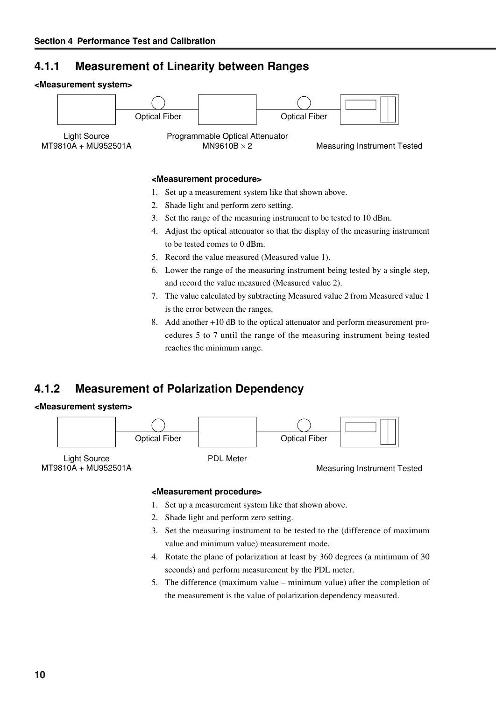## **4.1.1 Measurement of Linearity between Ranges**

#### **<Measurement system>**



#### **<Measurement procedure>**

- 1. Set up a measurement system like that shown above.
- 2. Shade light and perform zero setting.
- 3. Set the range of the measuring instrument to be tested to 10 dBm.
- 4. Adjust the optical attenuator so that the display of the measuring instrument to be tested comes to 0 dBm.
- 5. Record the value measured (Measured value 1).
- 6. Lower the range of the measuring instrument being tested by a single step, and record the value measured (Measured value 2).
- 7. The value calculated by subtracting Measured value 2 from Measured value 1 is the error between the ranges.
- 8. Add another +10 dB to the optical attenuator and perform measurement procedures 5 to 7 until the range of the measuring instrument being tested reaches the minimum range.

## **4.1.2 Measurement of Polarization Dependency**

#### **<Measurement system>**



MT9810A + MU952501A

Measuring Instrument Tested

#### **<Measurement procedure>**

- 1. Set up a measurement system like that shown above.
- 2. Shade light and perform zero setting.
- 3. Set the measuring instrument to be tested to the (difference of maximum value and minimum value) measurement mode.
- 4. Rotate the plane of polarization at least by 360 degrees (a minimum of 30 seconds) and perform measurement by the PDL meter.
- 5. The difference (maximum value minimum value) after the completion of the measurement is the value of polarization dependency measured.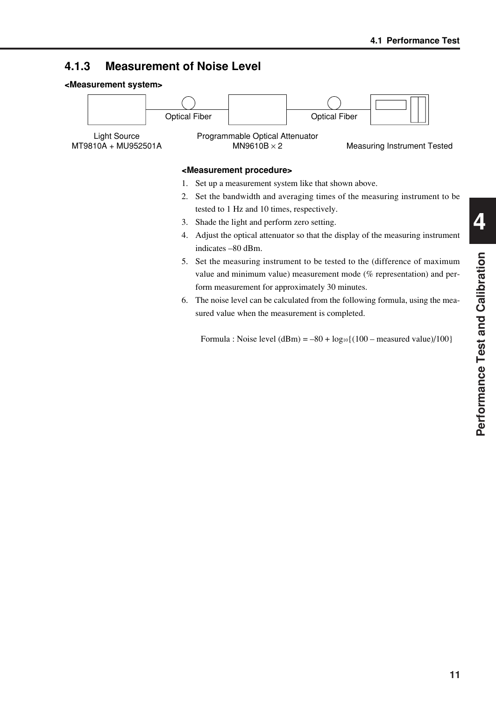## **4.1.3 Measurement of Noise Level**





sured value when the measurement is completed.

Formula : Noise level  $(dBm) = -80 + log_{10}\{(100 - measured value)/100\}$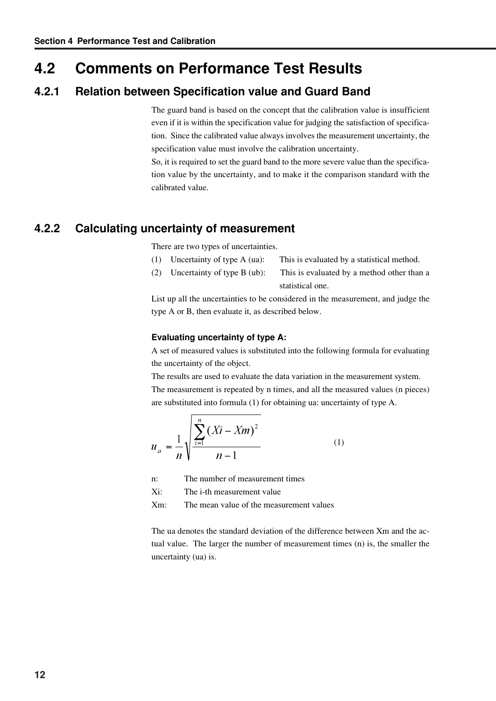## **4.2 Comments on Performance Test Results**

#### **4.2.1 Relation between Specification value and Guard Band**

The guard band is based on the concept that the calibration value is insufficient even if it is within the specification value for judging the satisfaction of specification. Since the calibrated value always involves the measurement uncertainty, the specification value must involve the calibration uncertainty.

So, it is required to set the guard band to the more severe value than the specification value by the uncertainty, and to make it the comparison standard with the calibrated value.

## **4.2.2 Calculating uncertainty of measurement**

There are two types of uncertainties.

- (1) Uncertainty of type A (ua): This is evaluated by a statistical method.
- (2) Uncertainty of type B (ub): This is evaluated by a method other than a statistical one.

List up all the uncertainties to be considered in the measurement, and judge the type A or B, then evaluate it, as described below.

#### **Evaluating uncertainty of type A:**

A set of measured values is substituted into the following formula for evaluating the uncertainty of the object.

The results are used to evaluate the data variation in the measurement system. The measurement is repeated by n times, and all the measured values (n pieces) are substituted into formula (1) for obtaining ua: uncertainty of type A.

$$
u_a = \frac{1}{n} \sqrt{\frac{\sum_{i=1}^{n} (Xi - Xm)^2}{n-1}}
$$
 (1)

n: The number of measurement times

Xi: The i-th measurement value

Xm: The mean value of the measurement values

The ua denotes the standard deviation of the difference between Xm and the actual value. The larger the number of measurement times (n) is, the smaller the uncertainty (ua) is.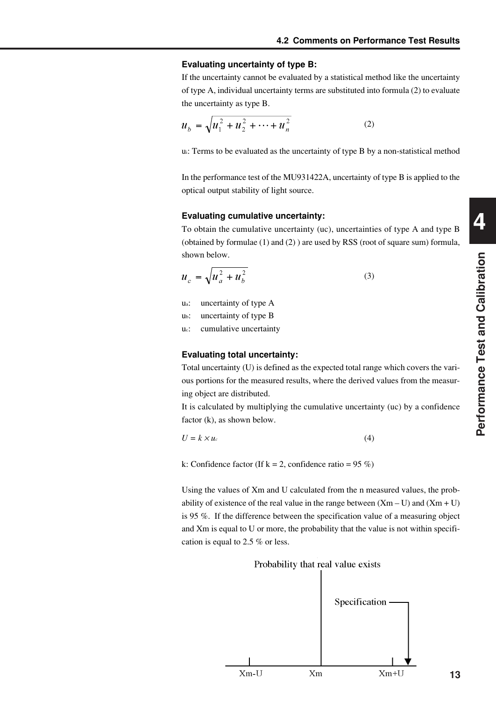#### **Evaluating uncertainty of type B:**

If the uncertainty cannot be evaluated by a statistical method like the uncertainty of type A, individual uncertainty terms are substituted into formula (2) to evaluate the uncertainty as type B.

$$
u_b = \sqrt{u_1^2 + u_2^2 + \dots + u_n^2}
$$
 (2)

ui: Terms to be evaluated as the uncertainty of type B by a non-statistical method

In the performance test of the MU931422A, uncertainty of type B is applied to the optical output stability of light source.

#### **Evaluating cumulative uncertainty:**

To obtain the cumulative uncertainty (uc), uncertainties of type A and type B (obtained by formulae (1) and (2) ) are used by RSS (root of square sum) formula, shown below.

$$
u_c = \sqrt{u_a^2 + u_b^2} \tag{3}
$$

- ua: uncertainty of type A
- ub: uncertainty of type B
- uc: cumulative uncertainty

#### **Evaluating total uncertainty:**

Total uncertainty (U) is defined as the expected total range which covers the various portions for the measured results, where the derived values from the measuring object are distributed.

It is calculated by multiplying the cumulative uncertainty (uc) by a confidence factor (k), as shown below.

$$
U = k \times u_c \tag{4}
$$

k: Confidence factor (If  $k = 2$ , confidence ratio = 95 %)

Using the values of Xm and U calculated from the n measured values, the probability of existence of the real value in the range between  $(Xm - U)$  and  $(Xm + U)$ is 95 %. If the difference between the specification value of a measuring object and Xm is equal to U or more, the probability that the value is not within specification is equal to 2.5 % or less.

#### Probability that real value exists

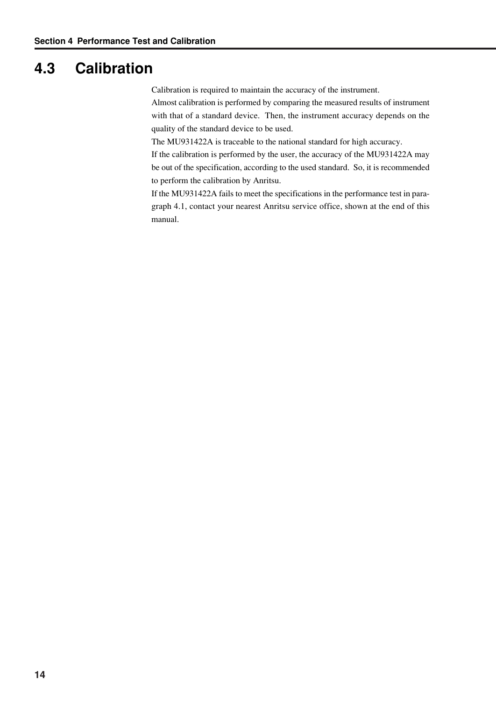# **4.3 Calibration**

Calibration is required to maintain the accuracy of the instrument.

Almost calibration is performed by comparing the measured results of instrument with that of a standard device. Then, the instrument accuracy depends on the quality of the standard device to be used.

The MU931422A is traceable to the national standard for high accuracy.

If the calibration is performed by the user, the accuracy of the MU931422A may be out of the specification, according to the used standard. So, it is recommended to perform the calibration by Anritsu.

If the MU931422A fails to meet the specifications in the performance test in paragraph 4.1, contact your nearest Anritsu service office, shown at the end of this manual.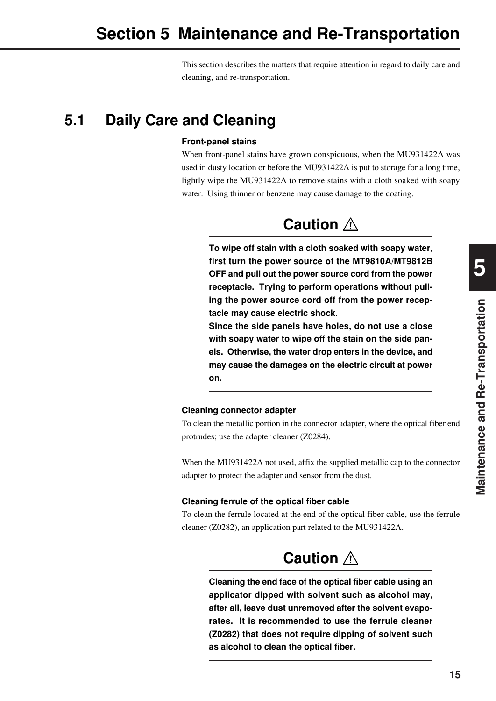This section describes the matters that require attention in regard to daily care and cleaning, and re-transportation.

# **5.1 Daily Care and Cleaning**

#### **Front-panel stains**

When front-panel stains have grown conspicuous, when the MU931422A was used in dusty location or before the MU931422A is put to storage for a long time, lightly wipe the MU931422A to remove stains with a cloth soaked with soapy water. Using thinner or benzene may cause damage to the coating.

# **Caution**

**To wipe off stain with a cloth soaked with soapy water, first turn the power source of the MT9810A/MT9812B OFF and pull out the power source cord from the power receptacle. Trying to perform operations without pulling the power source cord off from the power receptacle may cause electric shock.**

**Since the side panels have holes, do not use a close with soapy water to wipe off the stain on the side panels. Otherwise, the water drop enters in the device, and may cause the damages on the electric circuit at power on.**

#### **Cleaning connector adapter**

To clean the metallic portion in the connector adapter, where the optical fiber end protrudes; use the adapter cleaner (Z0284).

When the MU931422A not used, affix the supplied metallic cap to the connector adapter to protect the adapter and sensor from the dust.

#### **Cleaning ferrule of the optical fiber cable**

To clean the ferrule located at the end of the optical fiber cable, use the ferrule cleaner (Z0282), an application part related to the MU931422A.

# **Caution**

**Cleaning the end face of the optical fiber cable using an applicator dipped with solvent such as alcohol may, after all, leave dust unremoved after the solvent evaporates. It is recommended to use the ferrule cleaner (Z0282) that does not require dipping of solvent such as alcohol to clean the optical fiber.**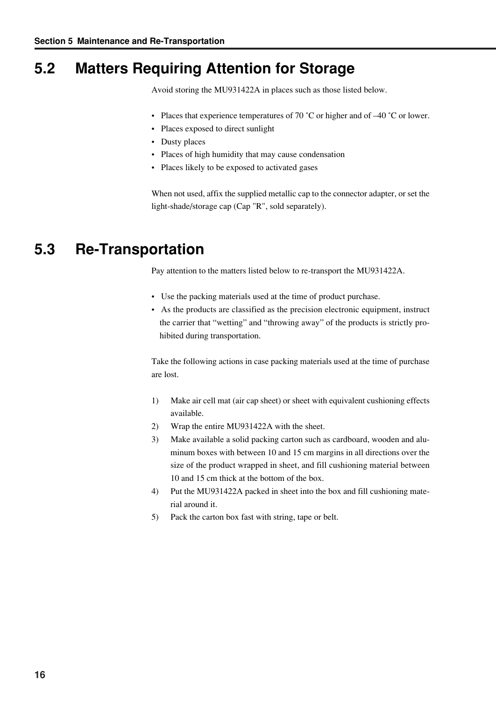# **5.2 Matters Requiring Attention for Storage**

Avoid storing the MU931422A in places such as those listed below.

- Places that experience temperatures of 70  $^{\circ}$ C or higher and of  $-40$   $^{\circ}$ C or lower.
- Places exposed to direct sunlight
- Dusty places
- Places of high humidity that may cause condensation
- Places likely to be exposed to activated gases

When not used, affix the supplied metallic cap to the connector adapter, or set the light-shade/storage cap (Cap "R", sold separately).

# **5.3 Re-Transportation**

Pay attention to the matters listed below to re-transport the MU931422A.

- Use the packing materials used at the time of product purchase.
- As the products are classified as the precision electronic equipment, instruct the carrier that "wetting" and "throwing away" of the products is strictly prohibited during transportation.

Take the following actions in case packing materials used at the time of purchase are lost.

- 1) Make air cell mat (air cap sheet) or sheet with equivalent cushioning effects available.
- 2) Wrap the entire MU931422A with the sheet.
- 3) Make available a solid packing carton such as cardboard, wooden and aluminum boxes with between 10 and 15 cm margins in all directions over the size of the product wrapped in sheet, and fill cushioning material between 10 and 15 cm thick at the bottom of the box.
- 4) Put the MU931422A packed in sheet into the box and fill cushioning material around it.
- 5) Pack the carton box fast with string, tape or belt.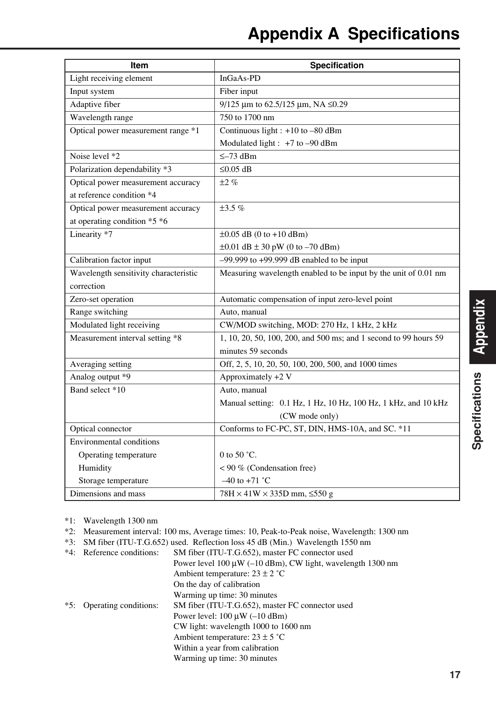| <b>Item</b>                           | Specification                                                    |
|---------------------------------------|------------------------------------------------------------------|
| Light receiving element               | InGaAs-PD                                                        |
| Input system                          | Fiber input                                                      |
| Adaptive fiber                        | 9/125 µm to 62.5/125 µm, NA ≤0.29                                |
| Wavelength range                      | 750 to 1700 nm                                                   |
| Optical power measurement range *1    | Continuous light : +10 to -80 dBm                                |
|                                       | Modulated light : +7 to -90 dBm                                  |
| Noise level *2                        | $\leq -73$ dBm                                                   |
| Polarization dependability *3         | $≤0.05$ dB                                                       |
| Optical power measurement accuracy    | $\pm 2\%$                                                        |
| at reference condition *4             |                                                                  |
| Optical power measurement accuracy    | $\pm 3.5 \%$                                                     |
| at operating condition *5 *6          |                                                                  |
| Linearity *7                          | $\pm 0.05$ dB (0 to +10 dBm)                                     |
|                                       | $\pm 0.01$ dB $\pm 30$ pW (0 to -70 dBm)                         |
| Calibration factor input              | $-99.999$ to $+99.999$ dB enabled to be input                    |
| Wavelength sensitivity characteristic | Measuring wavelength enabled to be input by the unit of 0.01 nm  |
| correction                            |                                                                  |
| Zero-set operation                    | Automatic compensation of input zero-level point                 |
| Range switching                       | Auto, manual                                                     |
| Modulated light receiving             | CW/MOD switching, MOD: 270 Hz, 1 kHz, 2 kHz                      |
| Measurement interval setting *8       | 1, 10, 20, 50, 100, 200, and 500 ms; and 1 second to 99 hours 59 |
|                                       | minutes 59 seconds                                               |
| Averaging setting                     | Off, 2, 5, 10, 20, 50, 100, 200, 500, and 1000 times             |
| Analog output *9                      | Approximately +2 V                                               |
| Band select *10                       | Auto, manual                                                     |
|                                       | Manual setting: 0.1 Hz, 1 Hz, 10 Hz, 100 Hz, 1 kHz, and 10 kHz   |
|                                       | (CW mode only)                                                   |
| Optical connector                     | Conforms to FC-PC, ST, DIN, HMS-10A, and SC. *11                 |
| Environmental conditions              |                                                                  |
| Operating temperature                 | 0 to 50 $^{\circ}$ C.                                            |
| Humidity                              | < 90 % (Condensation free)                                       |
| Storage temperature                   | $-40$ to $+71$ °C                                                |
| Dimensions and mass                   | $78H \times 41W \times 335D$ mm, $\leq 550$ g                    |

\*1: Wavelength 1300 nm

- \*2: Measurement interval: 100 ms, Average times: 10, Peak-to-Peak noise, Wavelength: 1300 nm
- \*3: SM fiber (ITU-T.G.652) used. Reflection loss 45 dB (Min.) Wavelength 1550 nm
- \*4: Reference conditions: SM fiber (ITU-T.G.652), master FC connector used Power level 100 µW (–10 dBm), CW light, wavelength 1300 nm Ambient temperature:  $23 \pm 2$  °C On the day of calibration Warming up time: 30 minutes \*5: Operating conditions: SM fiber (ITU-T.G.652), master FC connector used Power level:  $100 \mu W (-10 \text{ dBm})$ CW light: wavelength 1000 to 1600 nm Ambient temperature:  $23 \pm 5$  °C Within a year from calibration Warming up time: 30 minutes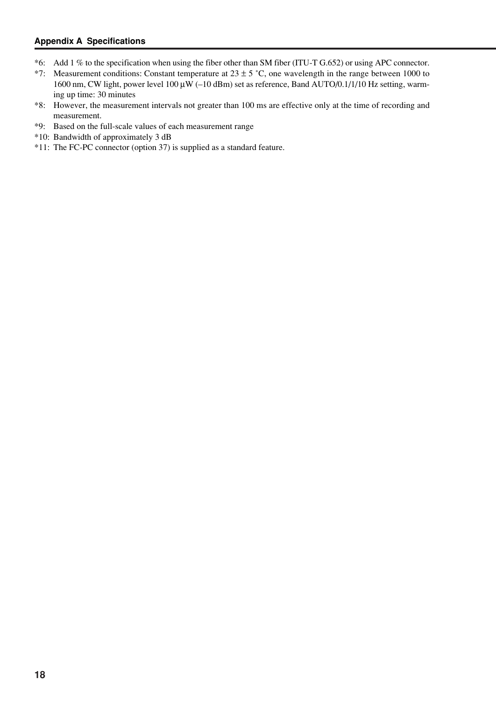#### **Appendix A Specifications**

- \*6: Add 1 % to the specification when using the fiber other than SM fiber (ITU-T G.652) or using APC connector.
- \*7: Measurement conditions: Constant temperature at  $23 \pm 5$  °C, one wavelength in the range between 1000 to 1600 nm, CW light, power level 100 µW (–10 dBm) set as reference, Band AUTO/0.1/1/10 Hz setting, warming up time: 30 minutes
- \*8: However, the measurement intervals not greater than 100 ms are effective only at the time of recording and measurement.
- \*9: Based on the full-scale values of each measurement range
- \*10: Bandwidth of approximately 3 dB
- \*11: The FC-PC connector (option 37) is supplied as a standard feature.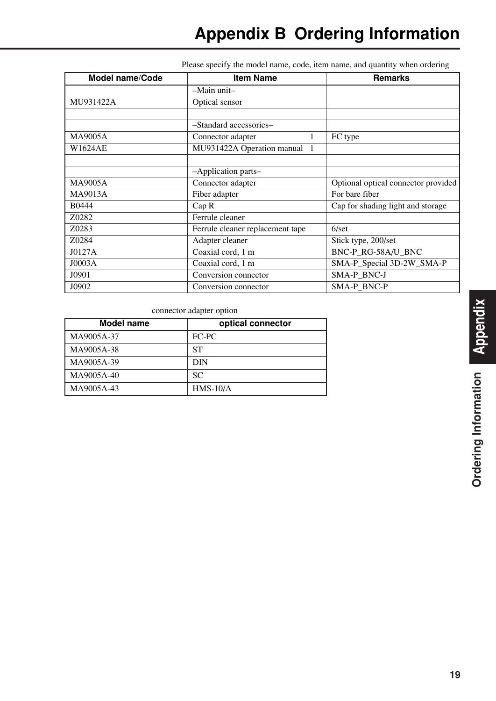| <b>Model name/Code</b><br><b>Item Name</b> |                                  | <b>Remarks</b>                      |
|--------------------------------------------|----------------------------------|-------------------------------------|
|                                            | $-Main$ unit-                    |                                     |
| MU931422A                                  | Optical sensor                   |                                     |
|                                            |                                  |                                     |
|                                            | -Standard accessories-           |                                     |
| <b>MA9005A</b>                             | Connector adapter                | FC type                             |
| W1624AE                                    | MU931422A Operation manual 1     |                                     |
|                                            |                                  |                                     |
|                                            | -Application parts-              |                                     |
| MA9005A                                    | Connector adapter                | Optional optical connector provided |
| MA9013A                                    | Fiber adapter                    | For bare fiber                      |
| B0444                                      | Cap R                            | Cap for shading light and storage   |
| Z0282                                      | Ferrule cleaner                  |                                     |
| Z0283                                      | Ferrule cleaner replacement tape | $6/\text{set}$                      |
| Z0284                                      | Adapter cleaner                  | Stick type, 200/set                 |
| J0127A                                     | Coaxial cord, 1 m                | BNC-P RG-58A/U BNC                  |
| JO003A                                     | Coaxial cord, 1 m                | SMA-P_Special 3D-2W_SMA-P           |
| J0901                                      | Conversion connector             | SMA-P BNC-J                         |
| J0902                                      | Conversion connector             | SMA-P BNC-P                         |

Please specify the model name, code, item name, and quantity when ordering

connector adapter option

| <b>Model name</b> | optical connector |
|-------------------|-------------------|
| MA9005A-37        | FC-PC             |
| MA9005A-38        | SТ                |
| MA9005A-39        | <b>DIN</b>        |
| MA9005A-40        | <b>SC</b>         |
| MA9005A-43        | $HMS-10/A$        |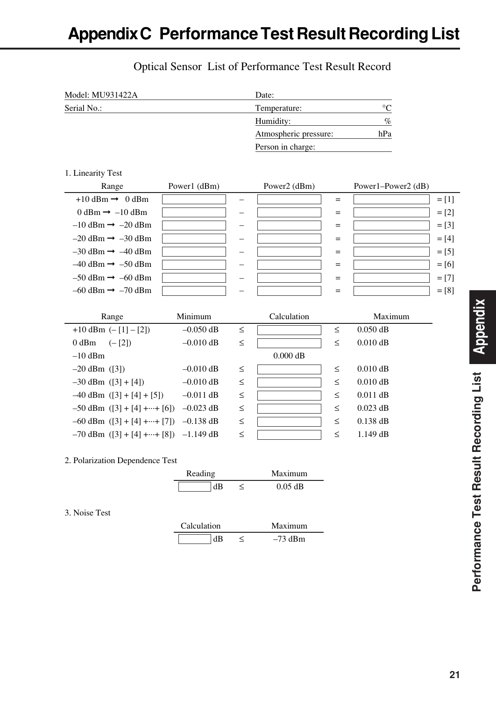| Model: MU931422A | Date:                 |        |
|------------------|-----------------------|--------|
| Serial No.:      | Temperature:          | $\sim$ |
|                  | Humidity:             | $\%$   |
|                  | Atmospheric pressure: | hPa    |
|                  | Person in charge:     |        |

## Optical Sensor List of Performance Test Result Record

#### 1. Linearity Test

| Range                                       | Power1 (dBm) | Power2 (dBm) |     | Power1-Power2 (dB) |         |
|---------------------------------------------|--------------|--------------|-----|--------------------|---------|
| $+10$ dBm $\rightarrow$ 0 dBm               |              |              | $=$ |                    | $=[1]$  |
| $0 \text{ dBm} \rightarrow -10 \text{ dBm}$ |              |              | $=$ |                    | $=[2]$  |
| $-10$ dBm $\rightarrow -20$ dBm             |              |              | $=$ |                    | $=[3]$  |
| $-20$ dBm $\rightarrow -30$ dBm             |              |              | $=$ |                    | $= [4]$ |
| $-30$ dBm $\rightarrow -40$ dBm             |              |              | $=$ |                    | $=[5]$  |
| $-40$ dBm $\rightarrow -50$ dBm             |              |              | $=$ |                    | $=$ [6] |
| $-50$ dBm $\rightarrow -60$ dBm             |              |              | $=$ |                    | $=[7]$  |
| $-60$ dBm $\rightarrow -70$ dBm             |              |              | $=$ |                    | $=[8]$  |

| Range                                              | Minimum     |        | Calculation |        | Maximum    |
|----------------------------------------------------|-------------|--------|-------------|--------|------------|
| $+10$ dBm $(-11 - 21)$                             | $-0.050$ dB | $\leq$ |             | $\leq$ | $0.050$ dB |
| 0 dBm<br>$(-[2])$                                  | $-0.010$ dB | $\leq$ |             | $\leq$ | $0.010$ dB |
| $-10$ dBm                                          |             |        | $0.000$ dB  |        |            |
| $-20$ dBm $([3])$                                  | $-0.010$ dB | $\leq$ |             | $\leq$ | $0.010$ dB |
| $-30$ dBm $([3]+[4])$                              | $-0.010$ dB | $\leq$ |             | $\leq$ | $0.010$ dB |
| $-40$ dBm $([3] + [4] + [5])$                      | $-0.011$ dB | $\leq$ |             | $\leq$ | $0.011$ dB |
| $-50$ dBm $([3] + [4] + \cdots + [6])$             | $-0.023$ dB | $\leq$ |             | $\leq$ | $0.023$ dB |
| $-60$ dBm $([3] + [4] + \cdots + [7])$ $-0.138$ dB |             | $\leq$ |             | $\leq$ | $0.138$ dB |
| $-70$ dBm $([3] + [4] + \cdots + [8])$ -1.149 dB   |             | $\leq$ |             | ≤      | $1.149$ dB |

#### 2. Polarization Dependence Test

|               | Reading     |         | Maximum   |
|---------------|-------------|---------|-----------|
|               | dB          | $\,<\,$ | $0.05$ dB |
|               |             |         |           |
| 3. Noise Test |             |         |           |
|               | Calculation |         | Maximum   |
|               | dB          | ≺       | $-73$ dBm |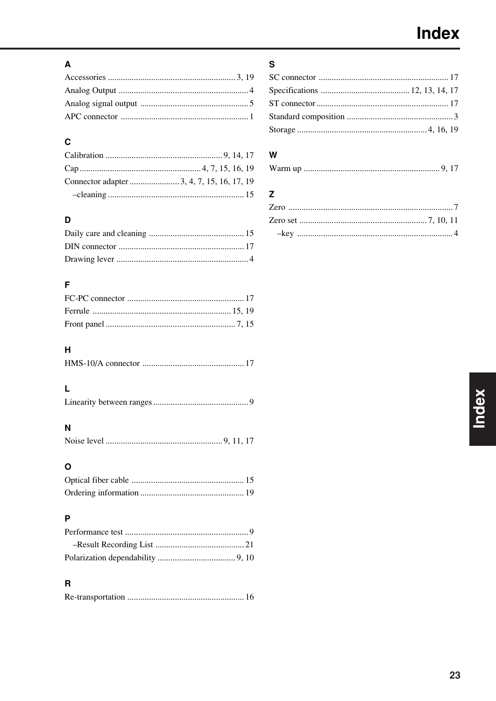## $\mathbf{A}$

## $\mathbf c$

## D

## F

## $\overline{H}$

## $\bar{\mathsf{L}}$

|--|

## $\overline{\mathsf{N}}$

## $\circ$

## $\mathsf{P}$

### $\overline{\mathbf{R}}$

|--|--|--|

## $\mathbf{s}$

## $\mathsf{w}$

|--|--|

## $\mathsf{z}$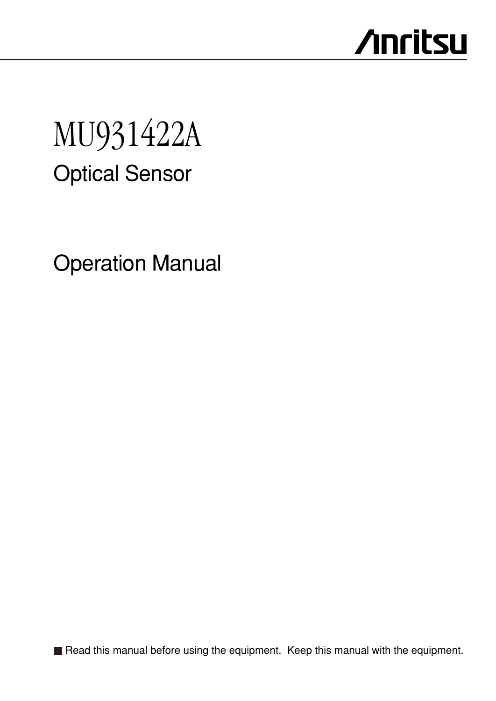# **Anritsu**

# Optical Sensor MU931422A

Operation Manual

Read this manual before using the equipment. Keep this manual with the equipment.